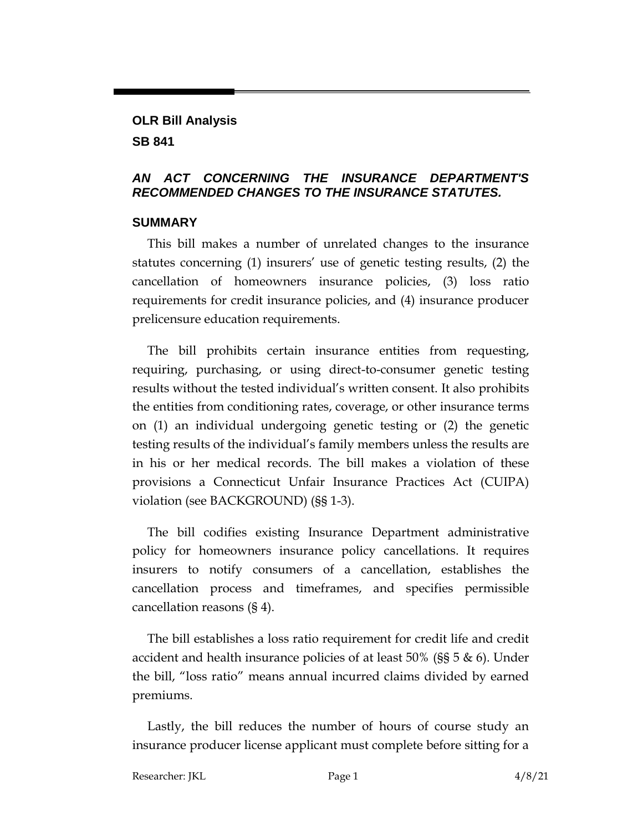### **OLR Bill Analysis SB 841**

#### *AN ACT CONCERNING THE INSURANCE DEPARTMENT'S RECOMMENDED CHANGES TO THE INSURANCE STATUTES.*

#### **SUMMARY**

This bill makes a number of unrelated changes to the insurance statutes concerning (1) insurers' use of genetic testing results, (2) the cancellation of homeowners insurance policies, (3) loss ratio requirements for credit insurance policies, and (4) insurance producer prelicensure education requirements.

The bill prohibits certain insurance entities from requesting, requiring, purchasing, or using direct-to-consumer genetic testing results without the tested individual's written consent. It also prohibits the entities from conditioning rates, coverage, or other insurance terms on (1) an individual undergoing genetic testing or (2) the genetic testing results of the individual's family members unless the results are in his or her medical records. The bill makes a violation of these provisions a Connecticut Unfair Insurance Practices Act (CUIPA) violation (see BACKGROUND) (§§ 1-3).

The bill codifies existing Insurance Department administrative policy for homeowners insurance policy cancellations. It requires insurers to notify consumers of a cancellation, establishes the cancellation process and timeframes, and specifies permissible cancellation reasons (§ 4).

The bill establishes a loss ratio requirement for credit life and credit accident and health insurance policies of at least  $50\%$  (§§  $5 \& 6$ ). Under the bill, "loss ratio" means annual incurred claims divided by earned premiums.

Lastly, the bill reduces the number of hours of course study an insurance producer license applicant must complete before sitting for a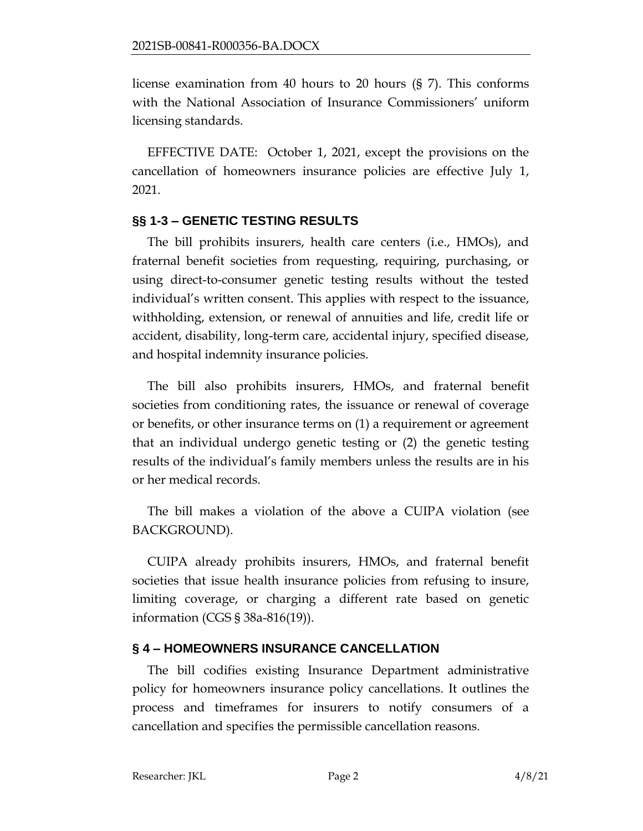license examination from 40 hours to 20 hours (§ 7). This conforms with the National Association of Insurance Commissioners' uniform licensing standards.

EFFECTIVE DATE: October 1, 2021, except the provisions on the cancellation of homeowners insurance policies are effective July 1, 2021.

# **§§ 1-3 – GENETIC TESTING RESULTS**

The bill prohibits insurers, health care centers (i.e., HMOs), and fraternal benefit societies from requesting, requiring, purchasing, or using direct-to-consumer genetic testing results without the tested individual's written consent. This applies with respect to the issuance, withholding, extension, or renewal of annuities and life, credit life or accident, disability, long-term care, accidental injury, specified disease, and hospital indemnity insurance policies.

The bill also prohibits insurers, HMOs, and fraternal benefit societies from conditioning rates, the issuance or renewal of coverage or benefits, or other insurance terms on (1) a requirement or agreement that an individual undergo genetic testing or (2) the genetic testing results of the individual's family members unless the results are in his or her medical records.

The bill makes a violation of the above a CUIPA violation (see BACKGROUND).

CUIPA already prohibits insurers, HMOs, and fraternal benefit societies that issue health insurance policies from refusing to insure, limiting coverage, or charging a different rate based on genetic information (CGS § 38a-816(19)).

# **§ 4 – HOMEOWNERS INSURANCE CANCELLATION**

The bill codifies existing Insurance Department administrative policy for homeowners insurance policy cancellations. It outlines the process and timeframes for insurers to notify consumers of a cancellation and specifies the permissible cancellation reasons.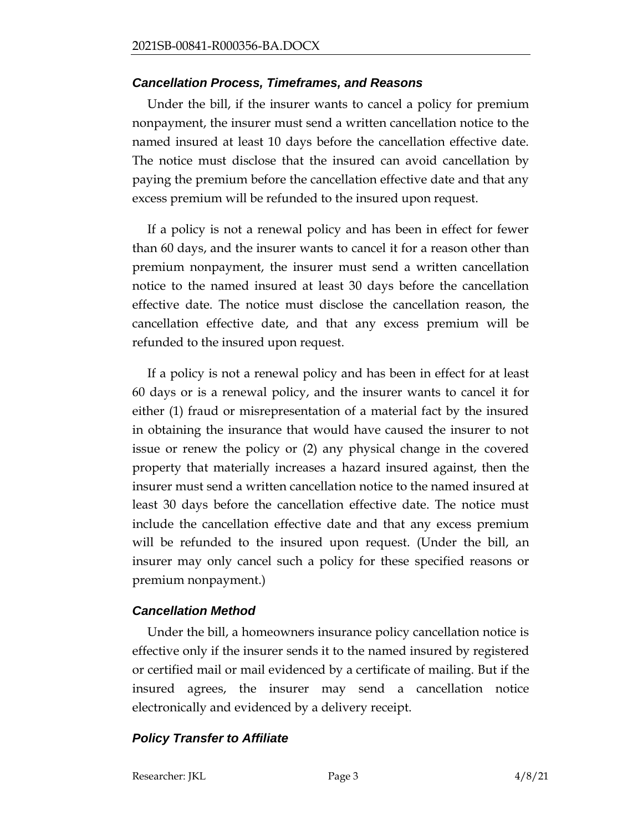#### *Cancellation Process, Timeframes, and Reasons*

Under the bill, if the insurer wants to cancel a policy for premium nonpayment, the insurer must send a written cancellation notice to the named insured at least 10 days before the cancellation effective date. The notice must disclose that the insured can avoid cancellation by paying the premium before the cancellation effective date and that any excess premium will be refunded to the insured upon request.

If a policy is not a renewal policy and has been in effect for fewer than 60 days, and the insurer wants to cancel it for a reason other than premium nonpayment, the insurer must send a written cancellation notice to the named insured at least 30 days before the cancellation effective date. The notice must disclose the cancellation reason, the cancellation effective date, and that any excess premium will be refunded to the insured upon request.

If a policy is not a renewal policy and has been in effect for at least 60 days or is a renewal policy, and the insurer wants to cancel it for either (1) fraud or misrepresentation of a material fact by the insured in obtaining the insurance that would have caused the insurer to not issue or renew the policy or (2) any physical change in the covered property that materially increases a hazard insured against, then the insurer must send a written cancellation notice to the named insured at least 30 days before the cancellation effective date. The notice must include the cancellation effective date and that any excess premium will be refunded to the insured upon request. (Under the bill, an insurer may only cancel such a policy for these specified reasons or premium nonpayment.)

#### *Cancellation Method*

Under the bill, a homeowners insurance policy cancellation notice is effective only if the insurer sends it to the named insured by registered or certified mail or mail evidenced by a certificate of mailing. But if the insured agrees, the insurer may send a cancellation notice electronically and evidenced by a delivery receipt.

### *Policy Transfer to Affiliate*

Researcher: JKL Page 3 4/8/21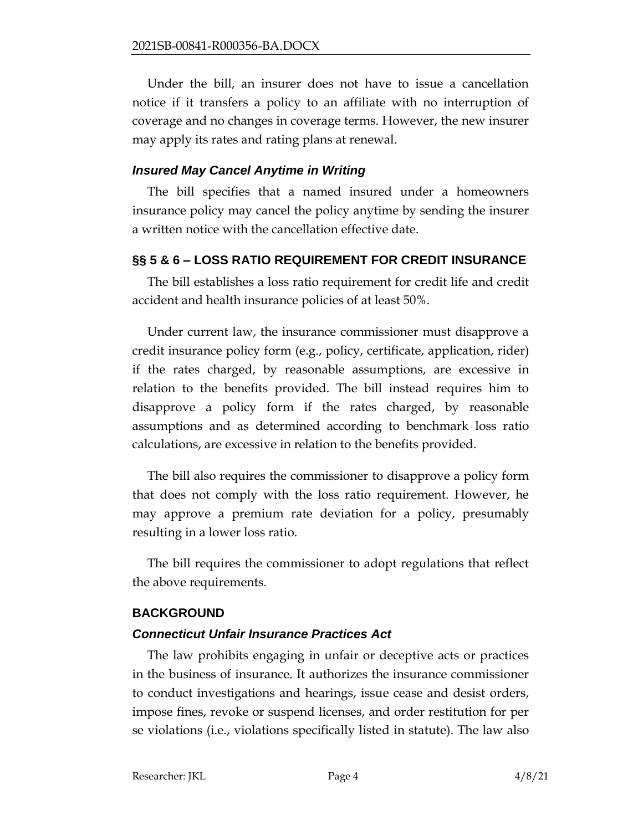Under the bill, an insurer does not have to issue a cancellation notice if it transfers a policy to an affiliate with no interruption of coverage and no changes in coverage terms. However, the new insurer may apply its rates and rating plans at renewal.

#### *Insured May Cancel Anytime in Writing*

The bill specifies that a named insured under a homeowners insurance policy may cancel the policy anytime by sending the insurer a written notice with the cancellation effective date.

# **§§ 5 & 6 – LOSS RATIO REQUIREMENT FOR CREDIT INSURANCE**

The bill establishes a loss ratio requirement for credit life and credit accident and health insurance policies of at least 50%.

Under current law, the insurance commissioner must disapprove a credit insurance policy form (e.g., policy, certificate, application, rider) if the rates charged, by reasonable assumptions, are excessive in relation to the benefits provided. The bill instead requires him to disapprove a policy form if the rates charged, by reasonable assumptions and as determined according to benchmark loss ratio calculations, are excessive in relation to the benefits provided.

The bill also requires the commissioner to disapprove a policy form that does not comply with the loss ratio requirement. However, he may approve a premium rate deviation for a policy, presumably resulting in a lower loss ratio.

The bill requires the commissioner to adopt regulations that reflect the above requirements.

### **BACKGROUND**

### *Connecticut Unfair Insurance Practices Act*

The law prohibits engaging in unfair or deceptive acts or practices in the business of insurance. It authorizes the insurance commissioner to conduct investigations and hearings, issue cease and desist orders, impose fines, revoke or suspend licenses, and order restitution for per se violations (i.e., violations specifically listed in statute). The law also